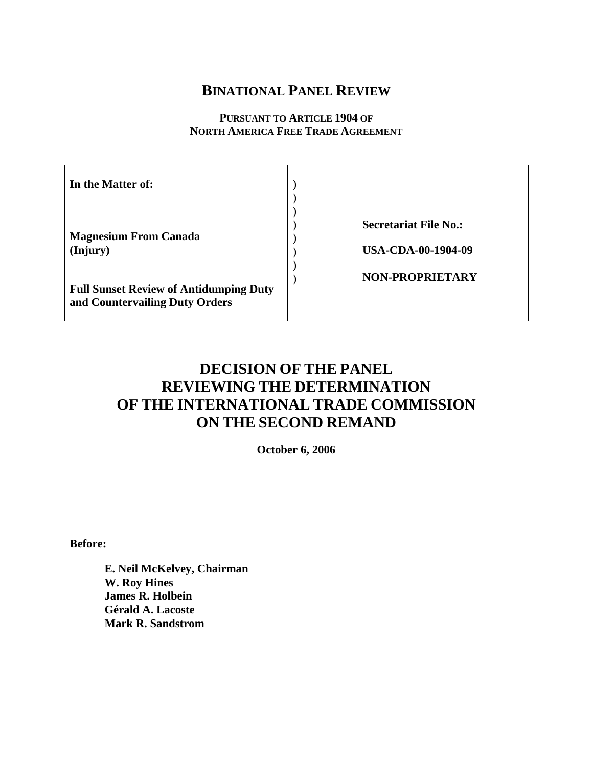# **BINATIONAL PANEL REVIEW**

# **PURSUANT TO ARTICLE 1904 OF NORTH AMERICA FREE TRADE AGREEMENT**

| In the Matter of:                                                               |                                                           |
|---------------------------------------------------------------------------------|-----------------------------------------------------------|
| <b>Magnesium From Canada</b><br>(Injury)                                        | <b>Secretariat File No.:</b><br><b>USA-CDA-00-1904-09</b> |
| <b>Full Sunset Review of Antidumping Duty</b><br>and Countervailing Duty Orders | <b>NON-PROPRIETARY</b>                                    |

# **DECISION OF THE PANEL REVIEWING THE DETERMINATION OF THE INTERNATIONAL TRADE COMMISSION ON THE SECOND REMAND**

**October 6, 2006** 

**Before:** 

**E. Neil McKelvey, Chairman W. Roy Hines James R. Holbein Gérald A. Lacoste Mark R. Sandstrom**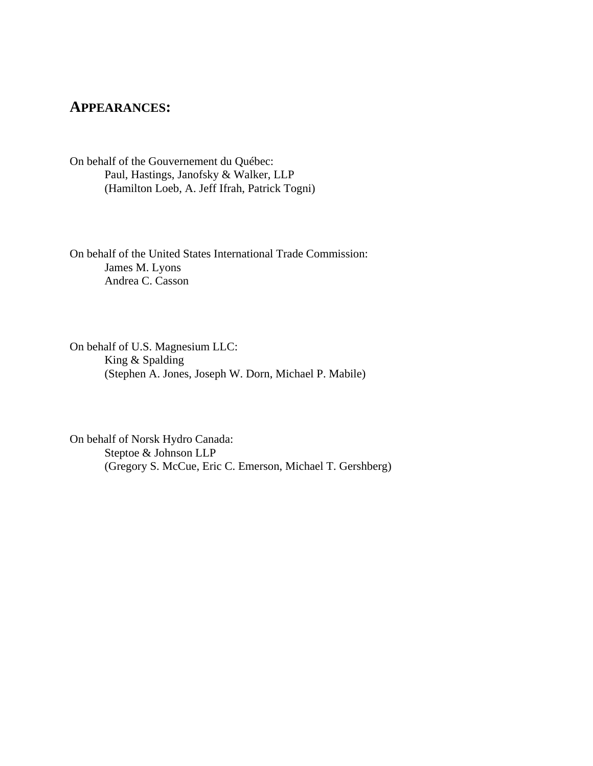# **APPEARANCES:**

On behalf of the Gouvernement du Québec: Paul, Hastings, Janofsky & Walker, LLP (Hamilton Loeb, A. Jeff Ifrah, Patrick Togni)

On behalf of the United States International Trade Commission: James M. Lyons Andrea C. Casson

On behalf of U.S. Magnesium LLC: King & Spalding (Stephen A. Jones, Joseph W. Dorn, Michael P. Mabile)

On behalf of Norsk Hydro Canada: Steptoe & Johnson LLP (Gregory S. McCue, Eric C. Emerson, Michael T. Gershberg)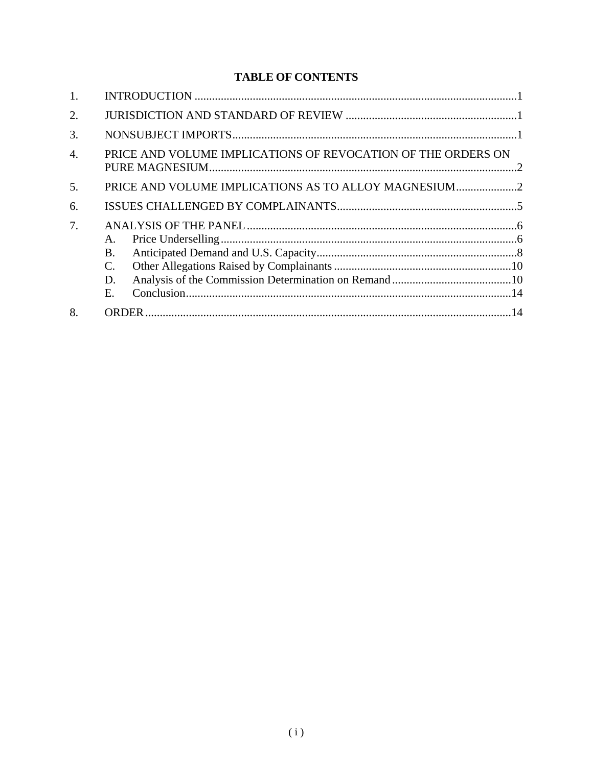# **TABLE OF CONTENTS**

| 1.               |                                                              |  |
|------------------|--------------------------------------------------------------|--|
| 2.               |                                                              |  |
| 3.               |                                                              |  |
| $\overline{4}$ . | PRICE AND VOLUME IMPLICATIONS OF REVOCATION OF THE ORDERS ON |  |
| 5.               |                                                              |  |
| 6.               |                                                              |  |
| 7.               | A.<br>B.<br>C.<br>D.<br>E.                                   |  |
| 8.               |                                                              |  |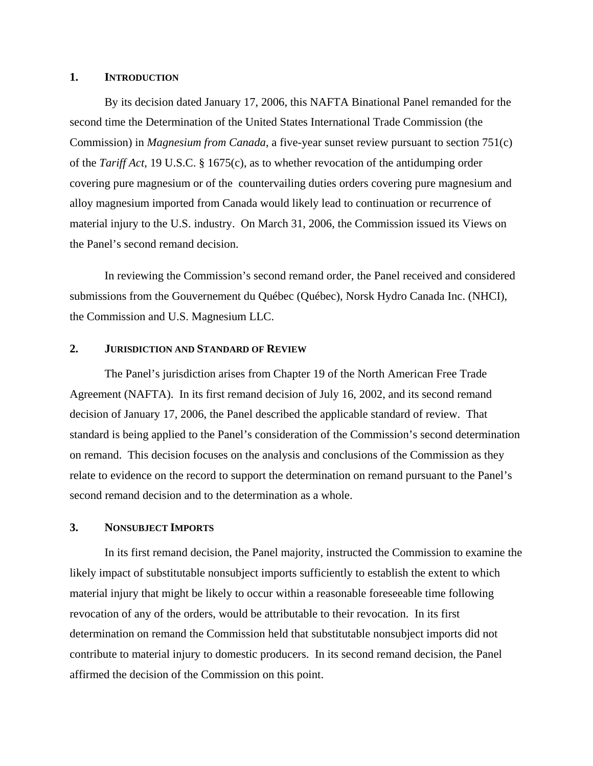#### <span id="page-3-0"></span>**1. INTRODUCTION**

By its decision dated January 17, 2006, this NAFTA Binational Panel remanded for the second time the Determination of the United States International Trade Commission (the Commission) in *Magnesium from Canada*, a five-year sunset review pursuant to section 751(c) of the *Tariff Act*, 19 U.S.C. § 1675(c), as to whether revocation of the antidumping order covering pure magnesium or of the countervailing duties orders covering pure magnesium and alloy magnesium imported from Canada would likely lead to continuation or recurrence of material injury to the U.S. industry. On March 31, 2006, the Commission issued its Views on the Panel's second remand decision.

In reviewing the Commission's second remand order, the Panel received and considered submissions from the Gouvernement du Québec (Québec), Norsk Hydro Canada Inc. (NHCI), the Commission and U.S. Magnesium LLC.

#### **2. JURISDICTION AND STANDARD OF REVIEW**

The Panel's jurisdiction arises from Chapter 19 of the North American Free Trade Agreement (NAFTA). In its first remand decision of July 16, 2002, and its second remand decision of January 17, 2006, the Panel described the applicable standard of review. That standard is being applied to the Panel's consideration of the Commission's second determination on remand. This decision focuses on the analysis and conclusions of the Commission as they relate to evidence on the record to support the determination on remand pursuant to the Panel's second remand decision and to the determination as a whole.

# **3. NONSUBJECT IMPORTS**

In its first remand decision, the Panel majority, instructed the Commission to examine the likely impact of substitutable nonsubject imports sufficiently to establish the extent to which material injury that might be likely to occur within a reasonable foreseeable time following revocation of any of the orders, would be attributable to their revocation. In its first determination on remand the Commission held that substitutable nonsubject imports did not contribute to material injury to domestic producers. In its second remand decision, the Panel affirmed the decision of the Commission on this point.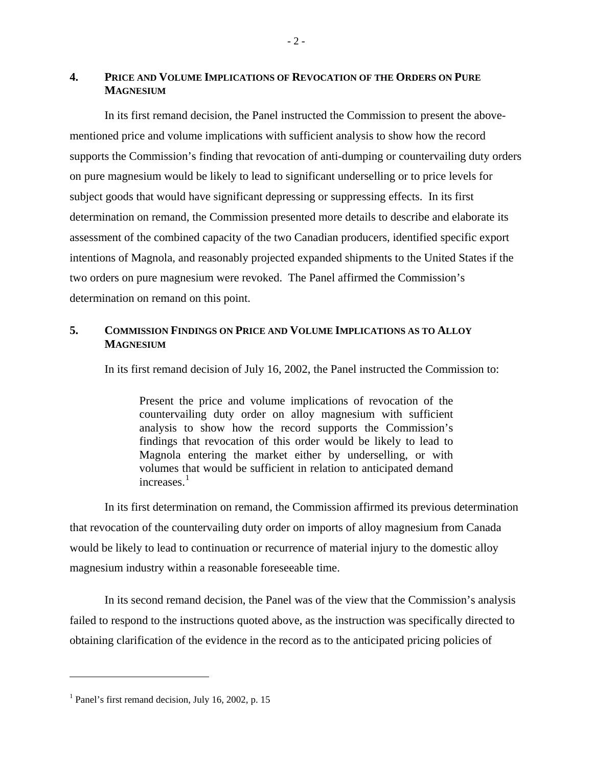# <span id="page-4-0"></span>**4. PRICE AND VOLUME IMPLICATIONS OF REVOCATION OF THE ORDERS ON PURE MAGNESIUM**

In its first remand decision, the Panel instructed the Commission to present the abovementioned price and volume implications with sufficient analysis to show how the record supports the Commission's finding that revocation of anti-dumping or countervailing duty orders on pure magnesium would be likely to lead to significant underselling or to price levels for subject goods that would have significant depressing or suppressing effects. In its first determination on remand, the Commission presented more details to describe and elaborate its assessment of the combined capacity of the two Canadian producers, identified specific export intentions of Magnola, and reasonably projected expanded shipments to the United States if the two orders on pure magnesium were revoked. The Panel affirmed the Commission's determination on remand on this point.

# **5. COMMISSION FINDINGS ON PRICE AND VOLUME IMPLICATIONS AS TO ALLOY MAGNESIUM**

In its first remand decision of July 16, 2002, the Panel instructed the Commission to:

Present the price and volume implications of revocation of the countervailing duty order on alloy magnesium with sufficient analysis to show how the record supports the Commission's findings that revocation of this order would be likely to lead to Magnola entering the market either by underselling, or with volumes that would be sufficient in relation to anticipated demand increases.<sup>[1](#page-4-1)</sup>

In its first determination on remand, the Commission affirmed its previous determination that revocation of the countervailing duty order on imports of alloy magnesium from Canada would be likely to lead to continuation or recurrence of material injury to the domestic alloy magnesium industry within a reasonable foreseeable time.

In its second remand decision, the Panel was of the view that the Commission's analysis failed to respond to the instructions quoted above, as the instruction was specifically directed to obtaining clarification of the evidence in the record as to the anticipated pricing policies of

<span id="page-4-1"></span><sup>&</sup>lt;sup>1</sup> Panel's first remand decision, July 16, 2002, p. 15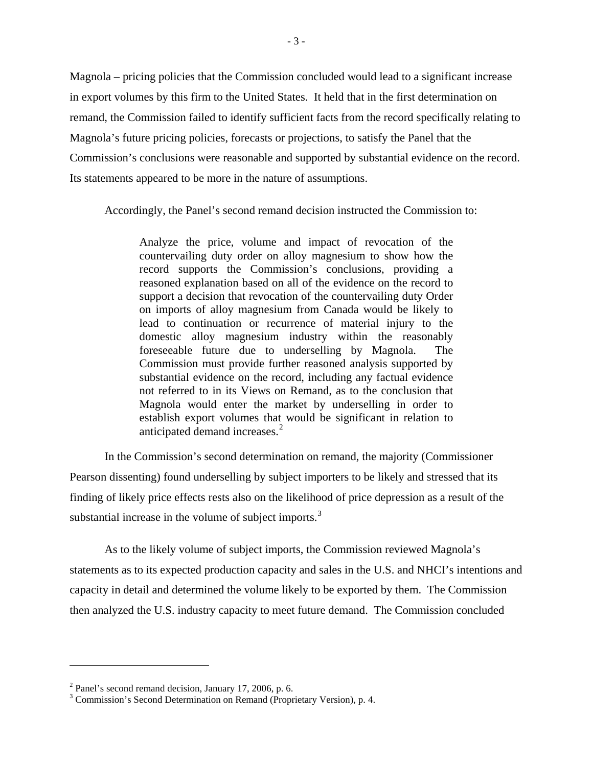Magnola – pricing policies that the Commission concluded would lead to a significant increase in export volumes by this firm to the United States. It held that in the first determination on remand, the Commission failed to identify sufficient facts from the record specifically relating to Magnola's future pricing policies, forecasts or projections, to satisfy the Panel that the Commission's conclusions were reasonable and supported by substantial evidence on the record. Its statements appeared to be more in the nature of assumptions.

Accordingly, the Panel's second remand decision instructed the Commission to:

Analyze the price, volume and impact of revocation of the countervailing duty order on alloy magnesium to show how the record supports the Commission's conclusions, providing a reasoned explanation based on all of the evidence on the record to support a decision that revocation of the countervailing duty Order on imports of alloy magnesium from Canada would be likely to lead to continuation or recurrence of material injury to the domestic alloy magnesium industry within the reasonably foreseeable future due to underselling by Magnola. The Commission must provide further reasoned analysis supported by substantial evidence on the record, including any factual evidence not referred to in its Views on Remand, as to the conclusion that Magnola would enter the market by underselling in order to establish export volumes that would be significant in relation to anticipated demand increases.<sup>[2](#page-5-0)</sup>

In the Commission's second determination on remand, the majority (Commissioner Pearson dissenting) found underselling by subject importers to be likely and stressed that its finding of likely price effects rests also on the likelihood of price depression as a result of the substantial increase in the volume of subject imports.<sup>[3](#page-5-1)</sup>

As to the likely volume of subject imports, the Commission reviewed Magnola's statements as to its expected production capacity and sales in the U.S. and NHCI's intentions and capacity in detail and determined the volume likely to be exported by them. The Commission then analyzed the U.S. industry capacity to meet future demand. The Commission concluded

<span id="page-5-0"></span> $2^2$  Panel's second remand decision, January 17, 2006, p. 6.

<span id="page-5-1"></span><sup>&</sup>lt;sup>3</sup> Commission's Second Determination on Remand (Proprietary Version), p. 4.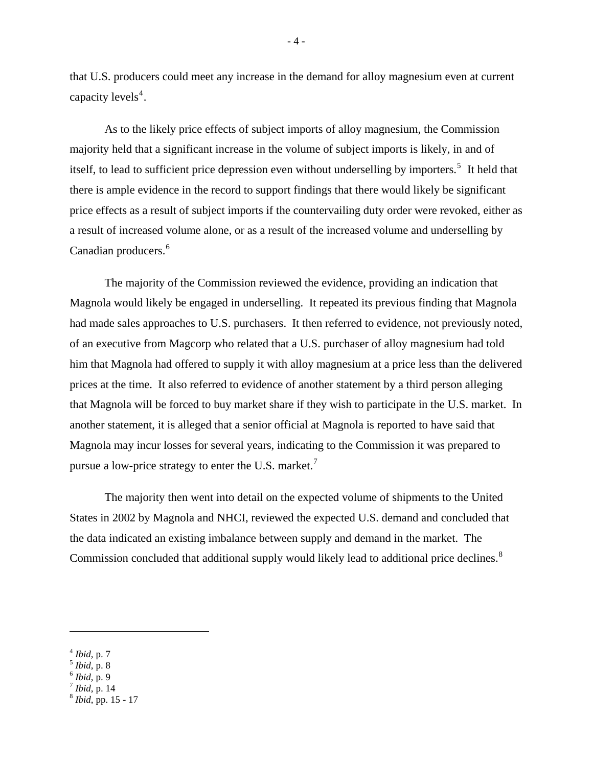that U.S. producers could meet any increase in the demand for alloy magnesium even at current capacity levels<sup>[4](#page-6-0)</sup>.

As to the likely price effects of subject imports of alloy magnesium, the Commission majority held that a significant increase in the volume of subject imports is likely, in and of itself, to lead to sufficient price depression even without underselling by importers.<sup>[5](#page-6-1)</sup> It held that there is ample evidence in the record to support findings that there would likely be significant price effects as a result of subject imports if the countervailing duty order were revoked, either as a result of increased volume alone, or as a result of the increased volume and underselling by Canadian producers.<sup>[6](#page-6-2)</sup>

The majority of the Commission reviewed the evidence, providing an indication that Magnola would likely be engaged in underselling. It repeated its previous finding that Magnola had made sales approaches to U.S. purchasers. It then referred to evidence, not previously noted, of an executive from Magcorp who related that a U.S. purchaser of alloy magnesium had told him that Magnola had offered to supply it with alloy magnesium at a price less than the delivered prices at the time. It also referred to evidence of another statement by a third person alleging that Magnola will be forced to buy market share if they wish to participate in the U.S. market. In another statement, it is alleged that a senior official at Magnola is reported to have said that Magnola may incur losses for several years, indicating to the Commission it was prepared to pursue a low-price strategy to enter the U.S. market.<sup>[7](#page-6-3)</sup>

The majority then went into detail on the expected volume of shipments to the United States in 2002 by Magnola and NHCI, reviewed the expected U.S. demand and concluded that the data indicated an existing imbalance between supply and demand in the market. The Commission concluded that additional supply would likely lead to additional price declines.<sup>[8](#page-6-4)</sup>

<u>.</u>

<span id="page-6-3"></span>

- 4 -

<span id="page-6-2"></span><span id="page-6-1"></span>

<span id="page-6-0"></span><sup>4</sup> *Ibid*, p. 7 5 *Ibid*, p. 8 6 *Ibid*, p. 9 7 *Ibid*, p. 14 8 *Ibid*, pp. 15 - 17

<span id="page-6-4"></span>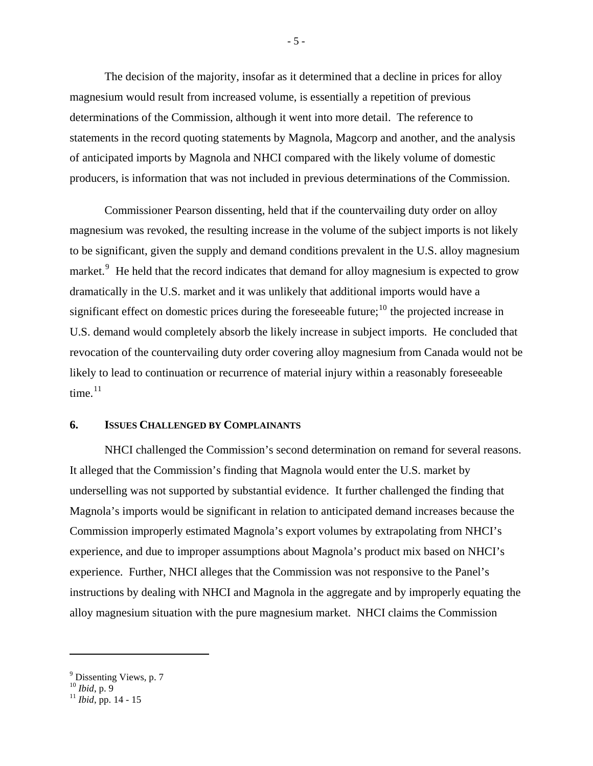<span id="page-7-0"></span>The decision of the majority, insofar as it determined that a decline in prices for alloy magnesium would result from increased volume, is essentially a repetition of previous determinations of the Commission, although it went into more detail. The reference to statements in the record quoting statements by Magnola, Magcorp and another, and the analysis of anticipated imports by Magnola and NHCI compared with the likely volume of domestic producers, is information that was not included in previous determinations of the Commission.

Commissioner Pearson dissenting, held that if the countervailing duty order on alloy magnesium was revoked, the resulting increase in the volume of the subject imports is not likely to be significant, given the supply and demand conditions prevalent in the U.S. alloy magnesium market.<sup>[9](#page-7-1)</sup> He held that the record indicates that demand for alloy magnesium is expected to grow dramatically in the U.S. market and it was unlikely that additional imports would have a significant effect on domestic prices during the foreseeable future;<sup>[10](#page-7-2)</sup> the projected increase in U.S. demand would completely absorb the likely increase in subject imports. He concluded that revocation of the countervailing duty order covering alloy magnesium from Canada would not be likely to lead to continuation or recurrence of material injury within a reasonably foreseeable time. $11$ 

# **6. ISSUES CHALLENGED BY COMPLAINANTS**

NHCI challenged the Commission's second determination on remand for several reasons. It alleged that the Commission's finding that Magnola would enter the U.S. market by underselling was not supported by substantial evidence. It further challenged the finding that Magnola's imports would be significant in relation to anticipated demand increases because the Commission improperly estimated Magnola's export volumes by extrapolating from NHCI's experience, and due to improper assumptions about Magnola's product mix based on NHCI's experience. Further, NHCI alleges that the Commission was not responsive to the Panel's instructions by dealing with NHCI and Magnola in the aggregate and by improperly equating the alloy magnesium situation with the pure magnesium market. NHCI claims the Commission

 $\overline{a}$ 

- 5 -

<span id="page-7-1"></span><sup>&</sup>lt;sup>9</sup> Dissenting Views, p. 7

<span id="page-7-3"></span><span id="page-7-2"></span>

<sup>&</sup>lt;sup>10</sup> *Ibid*, p. 9<br><sup>11</sup> *Ibid*, pp. 14 - 15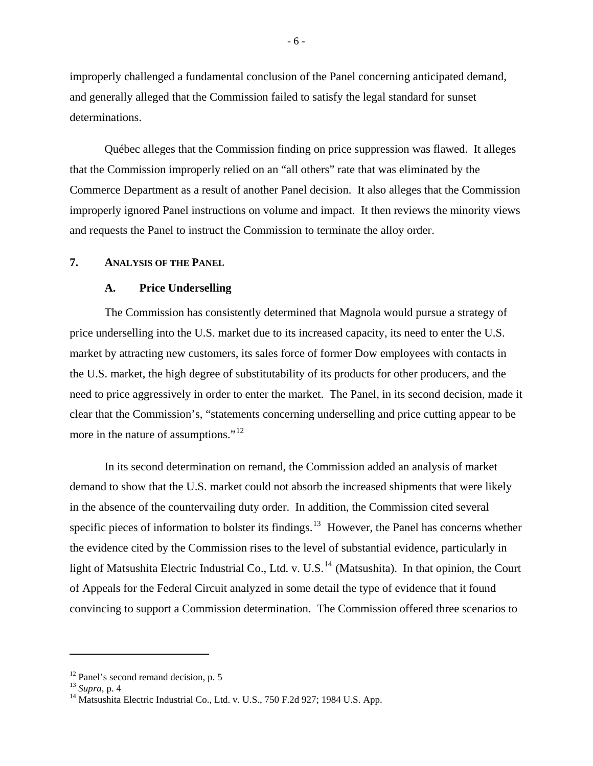<span id="page-8-0"></span>improperly challenged a fundamental conclusion of the Panel concerning anticipated demand, and generally alleged that the Commission failed to satisfy the legal standard for sunset determinations.

Québec alleges that the Commission finding on price suppression was flawed. It alleges that the Commission improperly relied on an "all others" rate that was eliminated by the Commerce Department as a result of another Panel decision. It also alleges that the Commission improperly ignored Panel instructions on volume and impact. It then reviews the minority views and requests the Panel to instruct the Commission to terminate the alloy order.

# **7. ANALYSIS OF THE PANEL**

#### **A. Price Underselling**

The Commission has consistently determined that Magnola would pursue a strategy of price underselling into the U.S. market due to its increased capacity, its need to enter the U.S. market by attracting new customers, its sales force of former Dow employees with contacts in the U.S. market, the high degree of substitutability of its products for other producers, and the need to price aggressively in order to enter the market. The Panel, in its second decision, made it clear that the Commission's, "statements concerning underselling and price cutting appear to be more in the nature of assumptions."<sup>[12](#page-8-1)</sup>

In its second determination on remand, the Commission added an analysis of market demand to show that the U.S. market could not absorb the increased shipments that were likely in the absence of the countervailing duty order. In addition, the Commission cited several specific pieces of information to bolster its findings.<sup>[13](#page-8-2)</sup> However, the Panel has concerns whether the evidence cited by the Commission rises to the level of substantial evidence, particularly in light of Matsushita Electric Industrial Co., Ltd. v. U.S.<sup>[14](#page-8-3)</sup> (Matsushita). In that opinion, the Court of Appeals for the Federal Circuit analyzed in some detail the type of evidence that it found convincing to support a Commission determination. The Commission offered three scenarios to

<span id="page-8-1"></span><sup>&</sup>lt;sup>12</sup> Panel's second remand decision, p. 5<sup>13</sup> Supra, p. 4

<span id="page-8-2"></span>

<span id="page-8-3"></span><sup>&</sup>lt;sup>14</sup> Matsushita Electric Industrial Co., Ltd. v. U.S., 750 F.2d 927; 1984 U.S. App.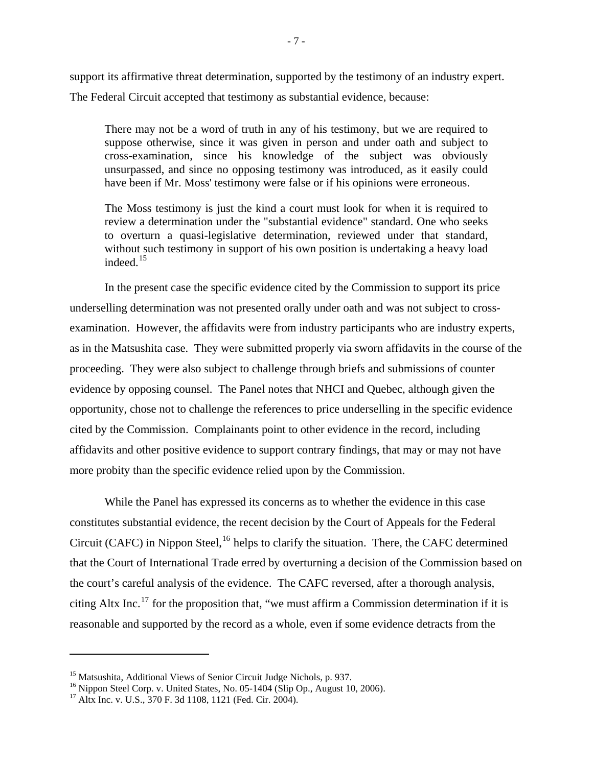support its affirmative threat determination, supported by the testimony of an industry expert. The Federal Circuit accepted that testimony as substantial evidence, because:

There may not be a word of truth in any of his testimony, but we are required to suppose otherwise, since it was given in person and under oath and subject to cross-examination, since his knowledge of the subject was obviously unsurpassed, and since no opposing testimony was introduced, as it easily could have been if Mr. Moss' testimony were false or if his opinions were erroneous.

The Moss testimony is just the kind a court must look for when it is required to review a determination under the "substantial evidence" standard. One who seeks to overturn a quasi-legislative determination, reviewed under that standard, without such testimony in support of his own position is undertaking a heavy load indeed.<sup>[15](#page-9-0)</sup>

In the present case the specific evidence cited by the Commission to support its price underselling determination was not presented orally under oath and was not subject to crossexamination. However, the affidavits were from industry participants who are industry experts, as in the Matsushita case. They were submitted properly via sworn affidavits in the course of the proceeding. They were also subject to challenge through briefs and submissions of counter evidence by opposing counsel. The Panel notes that NHCI and Quebec, although given the opportunity, chose not to challenge the references to price underselling in the specific evidence cited by the Commission. Complainants point to other evidence in the record, including affidavits and other positive evidence to support contrary findings, that may or may not have more probity than the specific evidence relied upon by the Commission.

While the Panel has expressed its concerns as to whether the evidence in this case constitutes substantial evidence, the recent decision by the Court of Appeals for the Federal Circuit (CAFC) in Nippon Steel,<sup>[16](#page-9-1)</sup> helps to clarify the situation. There, the CAFC determined that the Court of International Trade erred by overturning a decision of the Commission based on the court's careful analysis of the evidence. The CAFC reversed, after a thorough analysis, citing Altx Inc.<sup>[17](#page-9-2)</sup> for the proposition that, "we must affirm a Commission determination if it is reasonable and supported by the record as a whole, even if some evidence detracts from the

<span id="page-9-0"></span><sup>&</sup>lt;sup>15</sup> Matsushita, Additional Views of Senior Circuit Judge Nichols, p. 937.

<span id="page-9-1"></span><sup>&</sup>lt;sup>16</sup> Nippon Steel Corp. v. United States, No. 05-1404 (Slip Op., August 10, 2006).

<span id="page-9-2"></span><sup>&</sup>lt;sup>17</sup> Altx Inc. v. U.S.,  $370$  F. 3d 1108, 1121 (Fed. Cir. 2004).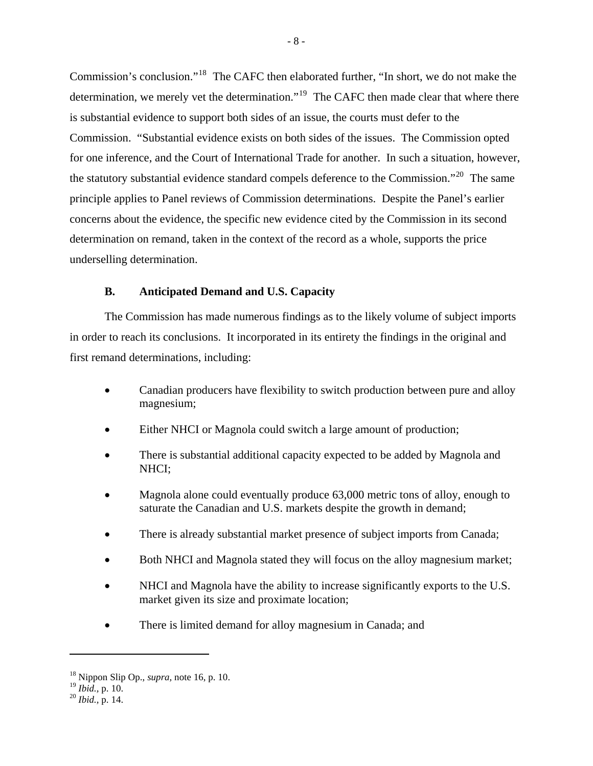<span id="page-10-0"></span>Commission's conclusion."[18](#page-10-1) The CAFC then elaborated further, "In short, we do not make the determination, we merely vet the determination."<sup>[19](#page-10-2)</sup> The CAFC then made clear that where there is substantial evidence to support both sides of an issue, the courts must defer to the Commission. "Substantial evidence exists on both sides of the issues. The Commission opted for one inference, and the Court of International Trade for another. In such a situation, however, the statutory substantial evidence standard compels deference to the Commission."<sup>[20](#page-10-3)</sup> The same principle applies to Panel reviews of Commission determinations. Despite the Panel's earlier concerns about the evidence, the specific new evidence cited by the Commission in its second determination on remand, taken in the context of the record as a whole, supports the price underselling determination.

### **B. Anticipated Demand and U.S. Capacity**

The Commission has made numerous findings as to the likely volume of subject imports in order to reach its conclusions. It incorporated in its entirety the findings in the original and first remand determinations, including:

- Canadian producers have flexibility to switch production between pure and alloy magnesium;
- Either NHCI or Magnola could switch a large amount of production;
- There is substantial additional capacity expected to be added by Magnola and NHCI;
- Magnola alone could eventually produce 63,000 metric tons of alloy, enough to saturate the Canadian and U.S. markets despite the growth in demand;
- There is already substantial market presence of subject imports from Canada;
- Both NHCI and Magnola stated they will focus on the alloy magnesium market;
- NHCI and Magnola have the ability to increase significantly exports to the U.S. market given its size and proximate location;
- There is limited demand for alloy magnesium in Canada; and

<span id="page-10-1"></span><sup>18</sup> Nippon Slip Op., *supra,* note 16, p. 10.

<span id="page-10-2"></span><sup>19</sup> *Ibid.,* p. 10. 20 *Ibid.,* p. 14.

<span id="page-10-3"></span>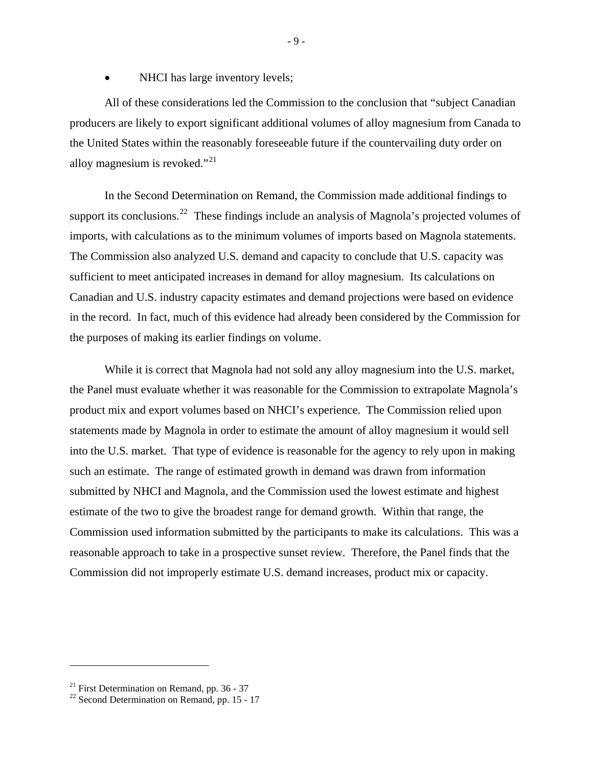NHCI has large inventory levels;

All of these considerations led the Commission to the conclusion that "subject Canadian producers are likely to export significant additional volumes of alloy magnesium from Canada to the United States within the reasonably foreseeable future if the countervailing duty order on alloy magnesium is revoked."<sup>[21](#page-11-0)</sup>

In the Second Determination on Remand, the Commission made additional findings to support its conclusions.<sup>[22](#page-11-1)</sup> These findings include an analysis of Magnola's projected volumes of imports, with calculations as to the minimum volumes of imports based on Magnola statements. The Commission also analyzed U.S. demand and capacity to conclude that U.S. capacity was sufficient to meet anticipated increases in demand for alloy magnesium. Its calculations on Canadian and U.S. industry capacity estimates and demand projections were based on evidence in the record. In fact, much of this evidence had already been considered by the Commission for the purposes of making its earlier findings on volume.

While it is correct that Magnola had not sold any alloy magnesium into the U.S. market, the Panel must evaluate whether it was reasonable for the Commission to extrapolate Magnola's product mix and export volumes based on NHCI's experience. The Commission relied upon statements made by Magnola in order to estimate the amount of alloy magnesium it would sell into the U.S. market. That type of evidence is reasonable for the agency to rely upon in making such an estimate. The range of estimated growth in demand was drawn from information submitted by NHCI and Magnola, and the Commission used the lowest estimate and highest estimate of the two to give the broadest range for demand growth. Within that range, the Commission used information submitted by the participants to make its calculations. This was a reasonable approach to take in a prospective sunset review. Therefore, the Panel finds that the Commission did not improperly estimate U.S. demand increases, product mix or capacity.

<span id="page-11-0"></span><sup>&</sup>lt;sup>21</sup> First Determination on Remand, pp.  $36 - 37$ 

<span id="page-11-1"></span><sup>&</sup>lt;sup>22</sup> Second Determination on Remand, pp. 15 - 17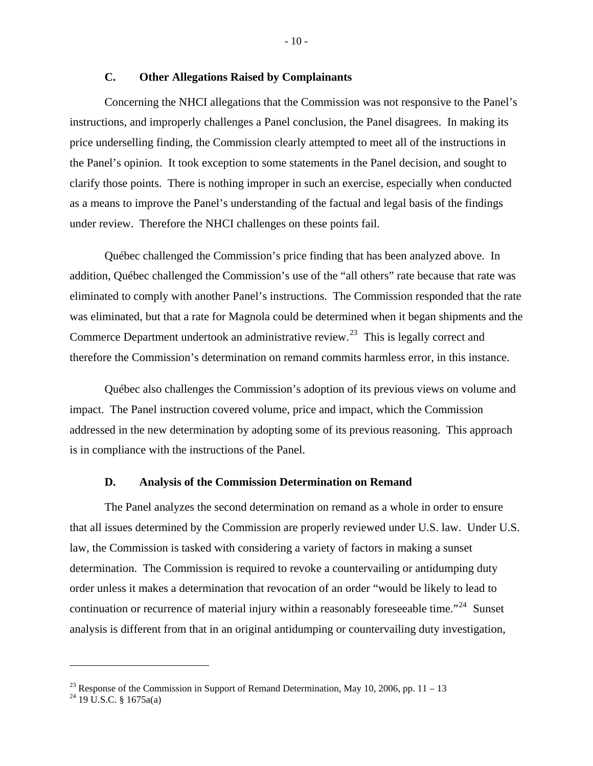# **C. Other Allegations Raised by Complainants**

<span id="page-12-0"></span>Concerning the NHCI allegations that the Commission was not responsive to the Panel's instructions, and improperly challenges a Panel conclusion, the Panel disagrees. In making its price underselling finding, the Commission clearly attempted to meet all of the instructions in the Panel's opinion. It took exception to some statements in the Panel decision, and sought to clarify those points. There is nothing improper in such an exercise, especially when conducted as a means to improve the Panel's understanding of the factual and legal basis of the findings under review. Therefore the NHCI challenges on these points fail.

Québec challenged the Commission's price finding that has been analyzed above. In addition, Québec challenged the Commission's use of the "all others" rate because that rate was eliminated to comply with another Panel's instructions. The Commission responded that the rate was eliminated, but that a rate for Magnola could be determined when it began shipments and the Commerce Department undertook an administrative review.<sup>[23](#page-12-1)</sup> This is legally correct and therefore the Commission's determination on remand commits harmless error, in this instance.

Québec also challenges the Commission's adoption of its previous views on volume and impact. The Panel instruction covered volume, price and impact, which the Commission addressed in the new determination by adopting some of its previous reasoning. This approach is in compliance with the instructions of the Panel.

#### **D. Analysis of the Commission Determination on Remand**

The Panel analyzes the second determination on remand as a whole in order to ensure that all issues determined by the Commission are properly reviewed under U.S. law. Under U.S. law, the Commission is tasked with considering a variety of factors in making a sunset determination. The Commission is required to revoke a countervailing or antidumping duty order unless it makes a determination that revocation of an order "would be likely to lead to continuation or recurrence of material injury within a reasonably foreseeable time."<sup>[24](#page-12-2)</sup> Sunset analysis is different from that in an original antidumping or countervailing duty investigation,

<span id="page-12-1"></span><sup>&</sup>lt;sup>23</sup> Response of the Commission in Support of Remand Determination, May 10, 2006, pp. 11 – 13

<span id="page-12-2"></span> $^{24}$  19 U.S.C. § 1675a(a)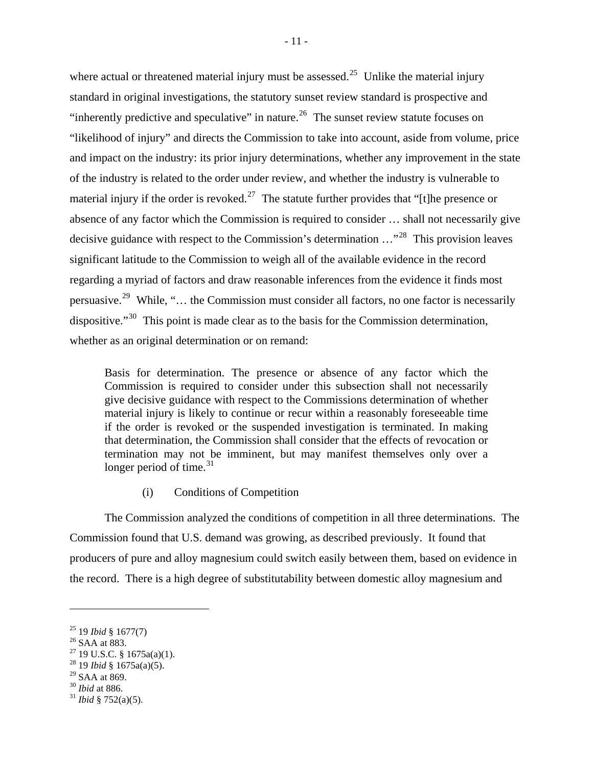where actual or threatened material injury must be assessed.<sup>[25](#page-13-0)</sup> Unlike the material injury standard in original investigations, the statutory sunset review standard is prospective and "inherently predictive and speculative" in nature.<sup>[26](#page-13-1)</sup> The sunset review statute focuses on "likelihood of injury" and directs the Commission to take into account, aside from volume, price and impact on the industry: its prior injury determinations, whether any improvement in the state of the industry is related to the order under review, and whether the industry is vulnerable to material injury if the order is revoked.<sup>[27](#page-13-2)</sup> The statute further provides that "[t]he presence or absence of any factor which the Commission is required to consider … shall not necessarily give decisive guidance with respect to the Commission's determination …"[28](#page-13-3) This provision leaves significant latitude to the Commission to weigh all of the available evidence in the record regarding a myriad of factors and draw reasonable inferences from the evidence it finds most persuasive.[29](#page-13-4) While, "… the Commission must consider all factors, no one factor is necessarily dispositive."<sup>[30](#page-13-5)</sup> This point is made clear as to the basis for the Commission determination, whether as an original determination or on remand:

Basis for determination. The presence or absence of any factor which the Commission is required to consider under this subsection shall not necessarily give decisive guidance with respect to the Commissions determination of whether material injury is likely to continue or recur within a reasonably foreseeable time if the order is revoked or the suspended investigation is terminated. In making that determination, the Commission shall consider that the effects of revocation or termination may not be imminent, but may manifest themselves only over a longer period of time. $31$ 

(i) Conditions of Competition

The Commission analyzed the conditions of competition in all three determinations. The Commission found that U.S. demand was growing, as described previously. It found that producers of pure and alloy magnesium could switch easily between them, based on evidence in the record. There is a high degree of substitutability between domestic alloy magnesium and

<span id="page-13-0"></span><sup>&</sup>lt;sup>25</sup> 19 *Ibid* § 1677(7)<br><sup>26</sup> SAA at 883.

<span id="page-13-2"></span><span id="page-13-1"></span><sup>27 19</sup> U.S.C. § 1675a(a)(1).

<span id="page-13-3"></span><sup>28 19</sup> *Ibid* § 1675a(a)(5).

<span id="page-13-4"></span> $^{29}$  SAA at 869.<br> $^{30}$  *Ibid* at 886.

<span id="page-13-6"></span><span id="page-13-5"></span> $31$  *Ibid* § 752(a)(5).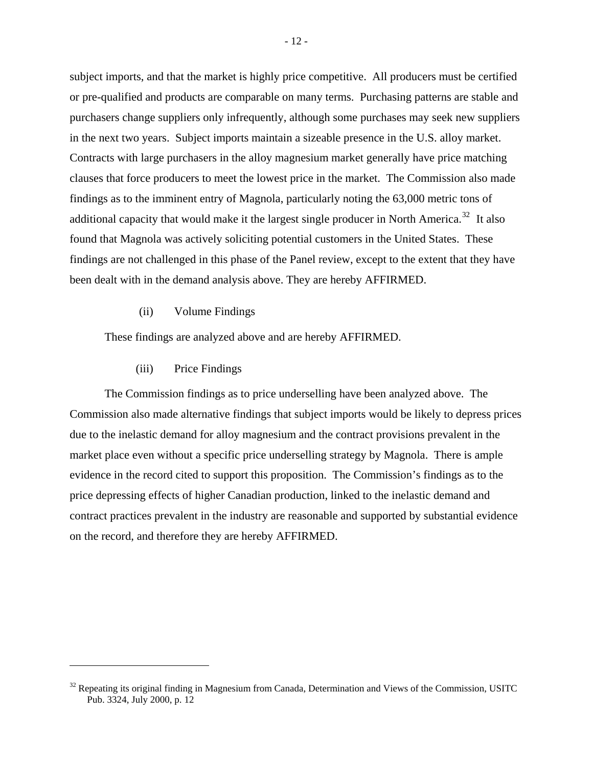subject imports, and that the market is highly price competitive. All producers must be certified or pre-qualified and products are comparable on many terms. Purchasing patterns are stable and purchasers change suppliers only infrequently, although some purchases may seek new suppliers in the next two years. Subject imports maintain a sizeable presence in the U.S. alloy market. Contracts with large purchasers in the alloy magnesium market generally have price matching clauses that force producers to meet the lowest price in the market. The Commission also made findings as to the imminent entry of Magnola, particularly noting the 63,000 metric tons of additional capacity that would make it the largest single producer in North America.<sup>[32](#page-14-0)</sup> It also found that Magnola was actively soliciting potential customers in the United States. These findings are not challenged in this phase of the Panel review, except to the extent that they have been dealt with in the demand analysis above. They are hereby AFFIRMED.

(ii) Volume Findings

These findings are analyzed above and are hereby AFFIRMED.

(iii) Price Findings

 $\overline{a}$ 

The Commission findings as to price underselling have been analyzed above. The Commission also made alternative findings that subject imports would be likely to depress prices due to the inelastic demand for alloy magnesium and the contract provisions prevalent in the market place even without a specific price underselling strategy by Magnola. There is ample evidence in the record cited to support this proposition. The Commission's findings as to the price depressing effects of higher Canadian production, linked to the inelastic demand and contract practices prevalent in the industry are reasonable and supported by substantial evidence on the record, and therefore they are hereby AFFIRMED.

<span id="page-14-0"></span> $32$  Repeating its original finding in Magnesium from Canada, Determination and Views of the Commission, USITC Pub. 3324, July 2000, p. 12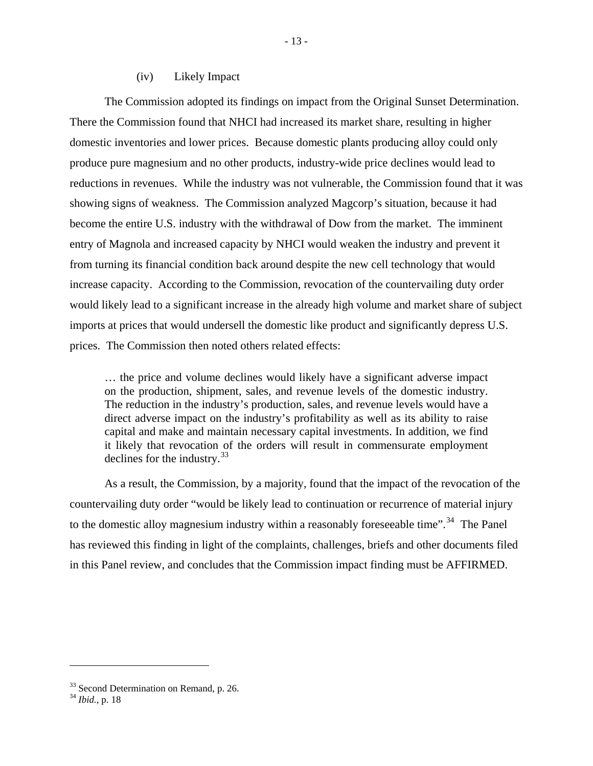#### (iv) Likely Impact

The Commission adopted its findings on impact from the Original Sunset Determination. There the Commission found that NHCI had increased its market share, resulting in higher domestic inventories and lower prices. Because domestic plants producing alloy could only produce pure magnesium and no other products, industry-wide price declines would lead to reductions in revenues. While the industry was not vulnerable, the Commission found that it was showing signs of weakness. The Commission analyzed Magcorp's situation, because it had become the entire U.S. industry with the withdrawal of Dow from the market. The imminent entry of Magnola and increased capacity by NHCI would weaken the industry and prevent it from turning its financial condition back around despite the new cell technology that would increase capacity. According to the Commission, revocation of the countervailing duty order would likely lead to a significant increase in the already high volume and market share of subject imports at prices that would undersell the domestic like product and significantly depress U.S. prices. The Commission then noted others related effects:

… the price and volume declines would likely have a significant adverse impact on the production, shipment, sales, and revenue levels of the domestic industry. The reduction in the industry's production, sales, and revenue levels would have a direct adverse impact on the industry's profitability as well as its ability to raise capital and make and maintain necessary capital investments. In addition, we find it likely that revocation of the orders will result in commensurate employment declines for the industry.  $33$ 

As a result, the Commission, by a majority, found that the impact of the revocation of the countervailing duty order "would be likely lead to continuation or recurrence of material injury to the domestic alloy magnesium industry within a reasonably foreseeable time".<sup>[34](#page-15-1)</sup> The Panel has reviewed this finding in light of the complaints, challenges, briefs and other documents filed in this Panel review, and concludes that the Commission impact finding must be AFFIRMED.

<span id="page-15-0"></span><sup>&</sup>lt;sup>33</sup> Second Determination on Remand, p. 26.

<span id="page-15-1"></span><sup>34</sup> *Ibid.*, p. 18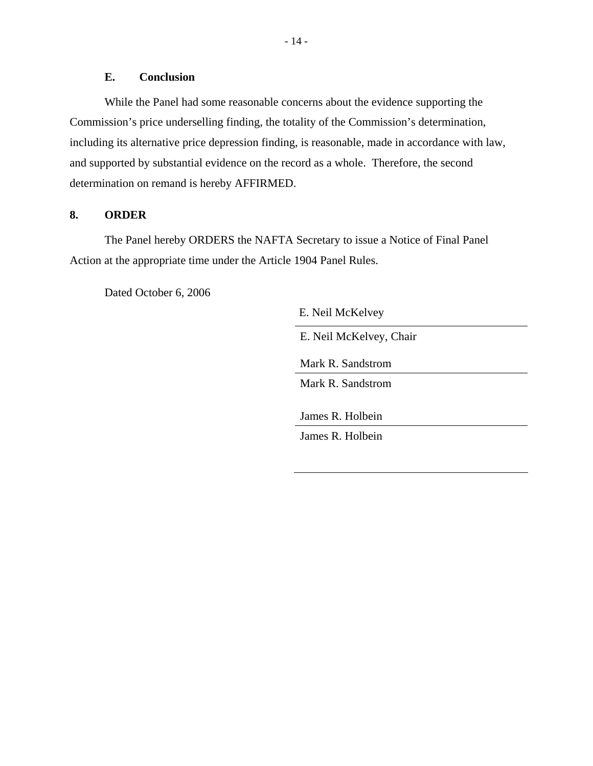# **E. Conclusion**

<span id="page-16-0"></span>While the Panel had some reasonable concerns about the evidence supporting the Commission's price underselling finding, the totality of the Commission's determination, including its alternative price depression finding, is reasonable, made in accordance with law, and supported by substantial evidence on the record as a whole. Therefore, the second determination on remand is hereby AFFIRMED.

# **8. ORDER**

The Panel hereby ORDERS the NAFTA Secretary to issue a Notice of Final Panel Action at the appropriate time under the Article 1904 Panel Rules.

Dated October 6, 2006

E. Neil McKelvey

E. Neil McKelvey, Chair

Mark R. Sandstrom

Mark R. Sandstrom

James R. Holbein

James R. Holbein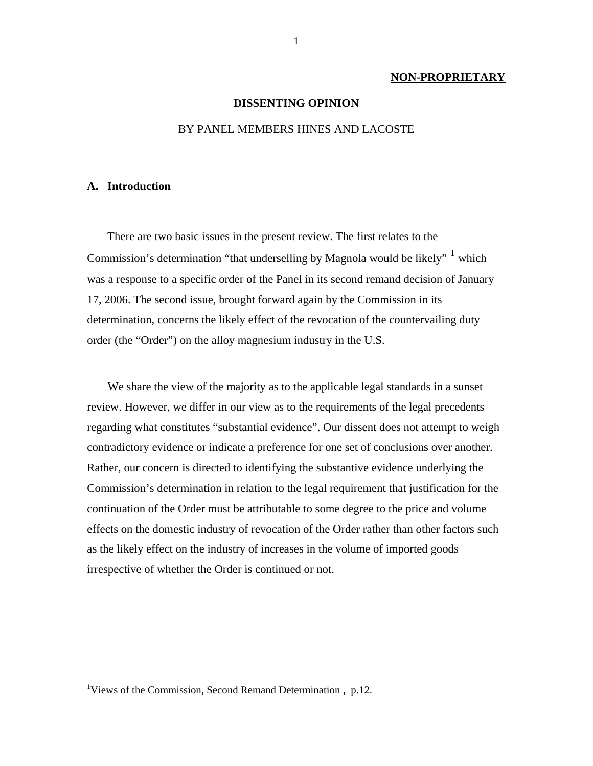#### **NON-PROPRIETARY**

#### **DISSENTING OPINION**

# BY PANEL MEMBERS HINES AND LACOSTE

#### **A. Introduction**

 $\overline{a}$ 

There are two basic issues in the present review. The first relates to the Commission's determination "that underselling by Magnola would be likely"  $\frac{1}{1}$  $\frac{1}{1}$  $\frac{1}{1}$  which was a response to a specific order of the Panel in its second remand decision of January 17, 2006. The second issue, brought forward again by the Commission in its determination, concerns the likely effect of the revocation of the countervailing duty order (the "Order") on the alloy magnesium industry in the U.S.

We share the view of the majority as to the applicable legal standards in a sunset review. However, we differ in our view as to the requirements of the legal precedents regarding what constitutes "substantial evidence". Our dissent does not attempt to weigh contradictory evidence or indicate a preference for one set of conclusions over another. Rather, our concern is directed to identifying the substantive evidence underlying the Commission's determination in relation to the legal requirement that justification for the continuation of the Order must be attributable to some degree to the price and volume effects on the domestic industry of revocation of the Order rather than other factors such as the likely effect on the industry of increases in the volume of imported goods irrespective of whether the Order is continued or not.

<span id="page-17-0"></span><sup>&</sup>lt;sup>1</sup>Views of the Commission, Second Remand Determination, p.12.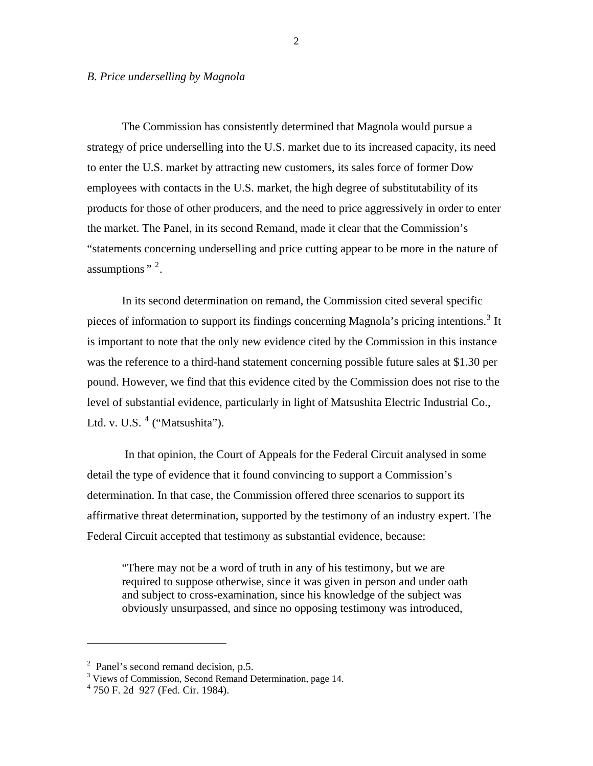#### *B. Price underselling by Magnola*

The Commission has consistently determined that Magnola would pursue a strategy of price underselling into the U.S. market due to its increased capacity, its need to enter the U.S. market by attracting new customers, its sales force of former Dow employees with contacts in the U.S. market, the high degree of substitutability of its products for those of other producers, and the need to price aggressively in order to enter the market. The Panel, in its second Remand, made it clear that the Commission's "statements concerning underselling and price cutting appear to be more in the nature of assumptions  $"$   $^2$  $^2$ .

In its second determination on remand, the Commission cited several specific pieces of information to support its findings concerning Magnola's pricing intentions.<sup>[3](#page-18-1)</sup> It is important to note that the only new evidence cited by the Commission in this instance was the reference to a third-hand statement concerning possible future sales at \$1.30 per pound. However, we find that this evidence cited by the Commission does not rise to the level of substantial evidence, particularly in light of Matsushita Electric Industrial Co., Ltd. v. U.S.  $<sup>4</sup>$  $<sup>4</sup>$  $<sup>4</sup>$  ("Matsushita").</sup>

 In that opinion, the Court of Appeals for the Federal Circuit analysed in some detail the type of evidence that it found convincing to support a Commission's determination. In that case, the Commission offered three scenarios to support its affirmative threat determination, supported by the testimony of an industry expert. The Federal Circuit accepted that testimony as substantial evidence, because:

"There may not be a word of truth in any of his testimony, but we are required to suppose otherwise, since it was given in person and under oath and subject to cross-examination, since his knowledge of the subject was obviously unsurpassed, and since no opposing testimony was introduced,

<span id="page-18-0"></span><sup>&</sup>lt;sup>2</sup> Panel's second remand decision, p.5.

<span id="page-18-1"></span><sup>&</sup>lt;sup>3</sup> Views of Commission, Second Remand Determination, page 14.

<span id="page-18-2"></span><sup>4</sup> 750 F. 2d 927 (Fed. Cir. 1984).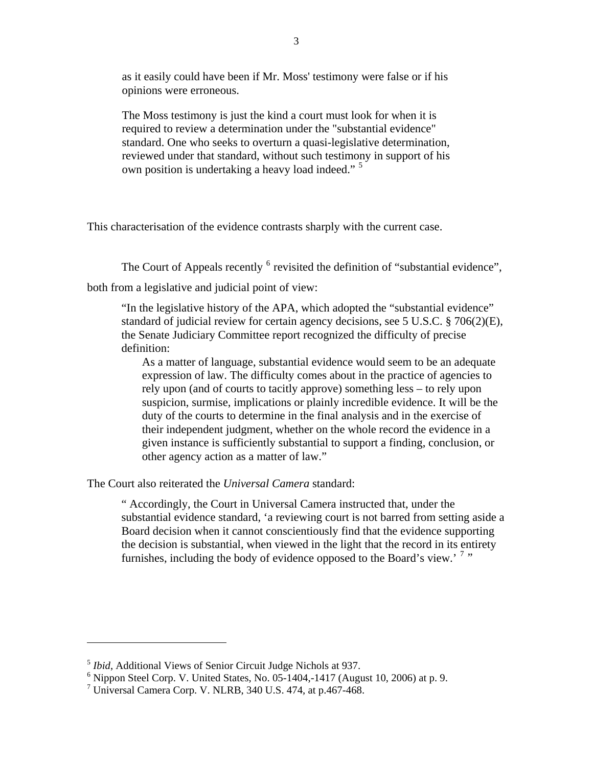as it easily could have been if Mr. Moss' testimony were false or if his opinions were erroneous.

The Moss testimony is just the kind a court must look for when it is required to review a determination under the "substantial evidence" standard. One who seeks to overturn a quasi-legislative determination, reviewed under that standard, without such testimony in support of his own position is undertaking a heavy load indeed."<sup>[5](#page-19-0)</sup>

This characterisation of the evidence contrasts sharply with the current case.

The Court of Appeals recently  $<sup>6</sup>$  $<sup>6</sup>$  $<sup>6</sup>$  revisited the definition of "substantial evidence",</sup> both from a legislative and judicial point of view:

"In the legislative history of the APA, which adopted the "substantial evidence" standard of judicial review for certain agency decisions, see 5 U.S.C. § 706(2)(E), the Senate Judiciary Committee report recognized the difficulty of precise definition:

As a matter of language, substantial evidence would seem to be an adequate expression of law. The difficulty comes about in the practice of agencies to rely upon (and of courts to tacitly approve) something less – to rely upon suspicion, surmise, implications or plainly incredible evidence. It will be the duty of the courts to determine in the final analysis and in the exercise of their independent judgment, whether on the whole record the evidence in a given instance is sufficiently substantial to support a finding, conclusion, or other agency action as a matter of law."

The Court also reiterated the *Universal Camera* standard:

" Accordingly, the Court in Universal Camera instructed that, under the substantial evidence standard, 'a reviewing court is not barred from setting aside a Board decision when it cannot conscientiously find that the evidence supporting the decision is substantial, when viewed in the light that the record in its entirety furnishes, including the body of evidence opposed to the Board's view.' $7$ "

<span id="page-19-0"></span><sup>5</sup> *Ibid*, Additional Views of Senior Circuit Judge Nichols at 937.

<span id="page-19-1"></span> $6$  Nippon Steel Corp. V. United States, No. 05-1404,-1417 (August 10, 2006) at p. 9.

<span id="page-19-2"></span><sup>7</sup> Universal Camera Corp. V. NLRB, 340 U.S. 474, at p.467-468.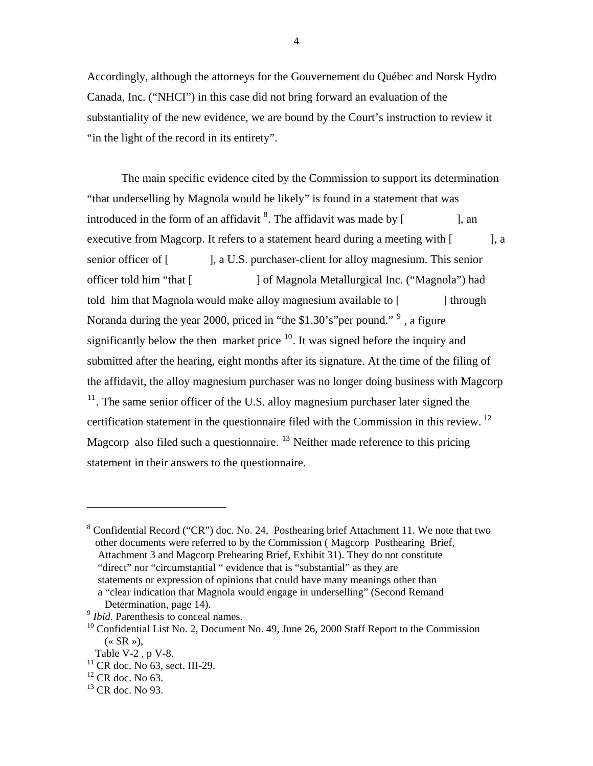Accordingly, although the attorneys for the Gouvernement du Québec and Norsk Hydro Canada, Inc. ("NHCI") in this case did not bring forward an evaluation of the substantiality of the new evidence, we are bound by the Court's instruction to review it "in the light of the record in its entirety".

The main specific evidence cited by the Commission to support its determination "that underselling by Magnola would be likely" is found in a statement that was introduced in the form of an affidavit  $\delta$ . The affidavit was made by [ ], an executive from Magcorp. It refers to a statement heard during a meeting with [ ], a senior officer of [ ], a U.S. purchaser-client for alloy magnesium. This senior officer told him "that [ ] of Magnola Metallurgical Inc. ("Magnola") had told him that Magnola would make alloy magnesium available to [ ] through Noranda during the year 2000, priced in "the \$1.30's" per pound."  $9$ , a figure significantly below the then market price  $10$ . It was signed before the inquiry and submitted after the hearing, eight months after its signature. At the time of the filing of the affidavit, the alloy magnesium purchaser was no longer doing business with Magcorp  $11$ . The same senior officer of the U.S. alloy magnesium purchaser later signed the certification statement in the questionnaire filed with the Commission in this review. [12](#page-20-4) Magcorp also filed such a questionnaire.  $^{13}$  $^{13}$  $^{13}$  Neither made reference to this pricing statement in their answers to the questionnaire.

<span id="page-20-0"></span><sup>&</sup>lt;sup>8</sup> Confidential Record ("CR") doc. No. 24, Posthearing brief Attachment 11. We note that two other documents were referred to by the Commission ( Magcorp Posthearing Brief, Attachment 3 and Magcorp Prehearing Brief, Exhibit 31). They do not constitute "direct" nor "circumstantial " evidence that is "substantial" as they are statements or expression of opinions that could have many meanings other than a "clear indication that Magnola would engage in underselling" (Second Remand

Determination, page 14).

<span id="page-20-1"></span><sup>&</sup>lt;sup>9</sup> *Ibid.* Parenthesis to conceal names.

<span id="page-20-2"></span><sup>&</sup>lt;sup>10</sup> Confidential List No. 2, Document No. 49, June 26, 2000 Staff Report to the Commission  $(\times$  SR »),

Table V-2 , p V-8.

<span id="page-20-3"></span> $11$  CR doc. No 63, sect. III-29.

<span id="page-20-4"></span> $12$  CR doc. No 63.

<span id="page-20-5"></span> $13$  CR doc. No 93.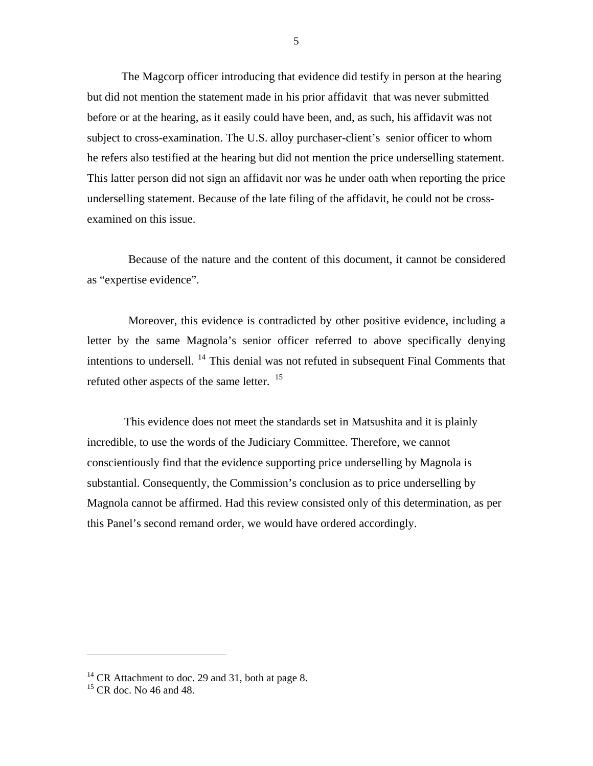The Magcorp officer introducing that evidence did testify in person at the hearing but did not mention the statement made in his prior affidavit that was never submitted before or at the hearing, as it easily could have been, and, as such, his affidavit was not subject to cross-examination. The U.S. alloy purchaser-client's senior officer to whom he refers also testified at the hearing but did not mention the price underselling statement. This latter person did not sign an affidavit nor was he under oath when reporting the price underselling statement. Because of the late filing of the affidavit, he could not be crossexamined on this issue.

Because of the nature and the content of this document, it cannot be considered as "expertise evidence".

Moreover, this evidence is contradicted by other positive evidence, including a letter by the same Magnola's senior officer referred to above specifically denying intentions to undersell. <sup>[14](#page-21-0)</sup> This denial was not refuted in subsequent Final Comments that refuted other aspects of the same letter. <sup>[15](#page-21-1)</sup>

 This evidence does not meet the standards set in Matsushita and it is plainly incredible, to use the words of the Judiciary Committee. Therefore, we cannot conscientiously find that the evidence supporting price underselling by Magnola is substantial. Consequently, the Commission's conclusion as to price underselling by Magnola cannot be affirmed. Had this review consisted only of this determination, as per this Panel's second remand order, we would have ordered accordingly.

<span id="page-21-0"></span><sup>&</sup>lt;sup>14</sup> CR Attachment to doc. 29 and 31, both at page 8.

<span id="page-21-1"></span> $15$  CR doc. No 46 and 48.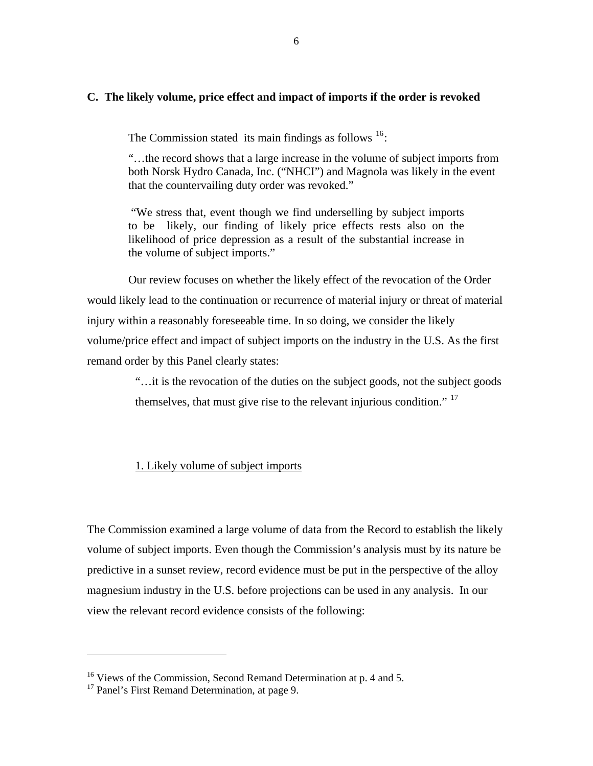# **C. The likely volume, price effect and impact of imports if the order is revoked**

The Commission stated its main findings as follows  $16$ :

"…the record shows that a large increase in the volume of subject imports from both Norsk Hydro Canada, Inc. ("NHCI") and Magnola was likely in the event that the countervailing duty order was revoked."

"We stress that, event though we find underselling by subject imports to be likely, our finding of likely price effects rests also on the likelihood of price depression as a result of the substantial increase in the volume of subject imports."

Our review focuses on whether the likely effect of the revocation of the Order would likely lead to the continuation or recurrence of material injury or threat of material injury within a reasonably foreseeable time. In so doing, we consider the likely volume/price effect and impact of subject imports on the industry in the U.S. As the first remand order by this Panel clearly states:

> "…it is the revocation of the duties on the subject goods, not the subject goods themselves, that must give rise to the relevant injurious condition."<sup>[17](#page-22-1)</sup>

# 1. Likely volume of subject imports

The Commission examined a large volume of data from the Record to establish the likely volume of subject imports. Even though the Commission's analysis must by its nature be predictive in a sunset review, record evidence must be put in the perspective of the alloy magnesium industry in the U.S. before projections can be used in any analysis. In our view the relevant record evidence consists of the following:

<span id="page-22-0"></span><sup>&</sup>lt;sup>16</sup> Views of the Commission, Second Remand Determination at p. 4 and 5.

<span id="page-22-1"></span><sup>&</sup>lt;sup>17</sup> Panel's First Remand Determination, at page 9.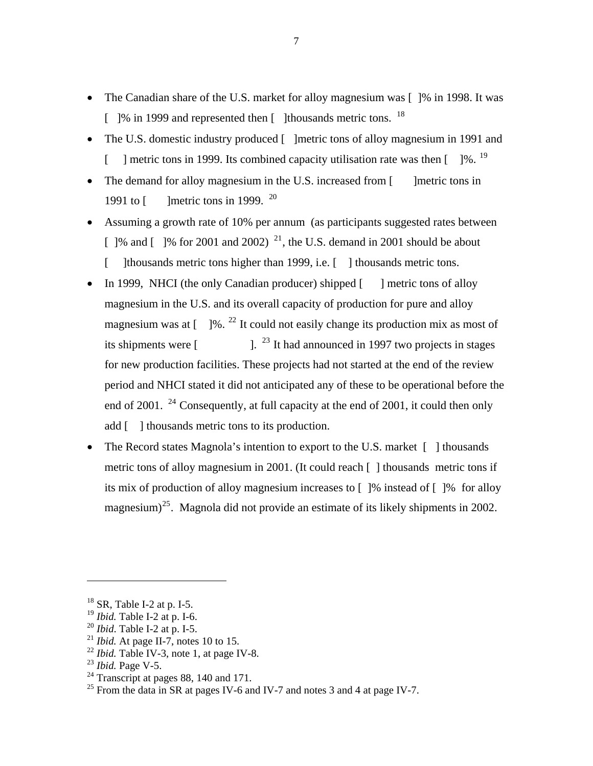- The Canadian share of the U.S. market for alloy magnesium was [1% in 1998. It was  $\lceil$  1% in 1999 and represented then  $\lceil$  1 thousands metric tons. <sup>[18](#page-23-0)</sup>
- The U.S. domestic industry produced [ ]metric tons of alloy magnesium in 1991 and [ ] metric tons in [19](#page-23-1)99. Its combined capacity utilisation rate was then  $[$  1%. <sup>19</sup>
- The demand for alloy magnesium in the U.S. increased from  $\lceil$  lmetric tons in 1991 to  $\lceil \cdot \rceil$  lmetric tons in 1999. <sup>[20](#page-23-2)</sup>
- Assuming a growth rate of 10% per annum (as participants suggested rates between [  $\frac{1}{6}$  and  $\frac{1}{6}$  |  $\frac{1}{6}$  for 2001 and 2002) <sup>[21](#page-23-3)</sup>, the U.S. demand in 2001 should be about [ ]thousands metric tons higher than 1999, i.e. [ ] thousands metric tons.
- In 1999, NHCI (the only Canadian producer) shipped [ ] metric tons of alloy magnesium in the U.S. and its overall capacity of production for pure and alloy magnesium was at  $\lceil 1\% \rceil$ . <sup>[22](#page-23-4)</sup> It could not easily change its production mix as most of its shipments were  $\lceil$  1.  $^{23}$  $^{23}$  $^{23}$  It had announced in 1997 two projects in stages for new production facilities. These projects had not started at the end of the review period and NHCI stated it did not anticipated any of these to be operational before the end of 2001. <sup>[24](#page-23-6)</sup> Consequently, at full capacity at the end of 2001, it could then only add [ ] thousands metric tons to its production.
- The Record states Magnola's intention to export to the U.S. market [ ] thousands metric tons of alloy magnesium in 2001. (It could reach [ ] thousands metric tons if its mix of production of alloy magnesium increases to [ ]% instead of [ ]% for alloy magnesium)<sup>[25](#page-23-7)</sup>. Magnola did not provide an estimate of its likely shipments in 2002.

<span id="page-23-0"></span> $18$  SR, Table I-2 at p. I-5.

<span id="page-23-1"></span><sup>19</sup> *Ibid.* Table I-2 at p. I-6.

<span id="page-23-2"></span><sup>20</sup> *Ibid*. Table I-2 at p. I-5.

<span id="page-23-3"></span><sup>&</sup>lt;sup>21</sup> *Ibid.* At page II-7, notes 10 to 15.

<span id="page-23-4"></span> $^{22}$  *Ibid.* Table IV-3, note 1, at page IV-8.

<span id="page-23-5"></span><sup>23</sup> *Ibid.* Page V-5.

<span id="page-23-6"></span><sup>&</sup>lt;sup>24</sup> Transcript at pages 88, 140 and 171.

<span id="page-23-7"></span><sup>&</sup>lt;sup>25</sup> From the data in SR at pages IV-6 and IV-7 and notes 3 and 4 at page IV-7.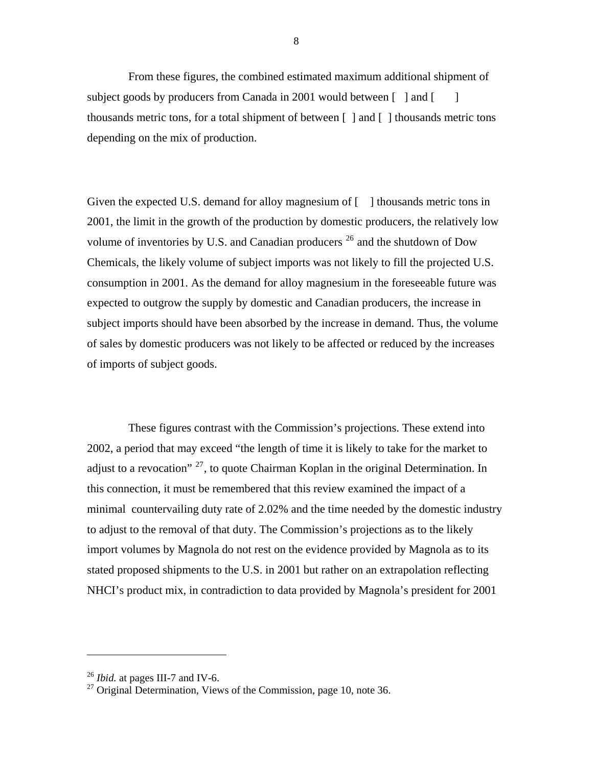From these figures, the combined estimated maximum additional shipment of subject goods by producers from Canada in 2001 would between  $\lceil \cdot \rceil$  and  $\lceil \cdot \rceil$ thousands metric tons, for a total shipment of between  $\lceil \cdot \rceil$  and  $\lceil \cdot \rceil$  thousands metric tons depending on the mix of production.

Given the expected U.S. demand for alloy magnesium of [ ] thousands metric tons in 2001, the limit in the growth of the production by domestic producers, the relatively low volume of inventories by U.S. and Canadian producers  $^{26}$  $^{26}$  $^{26}$  and the shutdown of Dow Chemicals, the likely volume of subject imports was not likely to fill the projected U.S. consumption in 2001. As the demand for alloy magnesium in the foreseeable future was expected to outgrow the supply by domestic and Canadian producers, the increase in subject imports should have been absorbed by the increase in demand. Thus, the volume of sales by domestic producers was not likely to be affected or reduced by the increases of imports of subject goods.

These figures contrast with the Commission's projections. These extend into 2002, a period that may exceed "the length of time it is likely to take for the market to adjust to a revocation"  $^{27}$  $^{27}$  $^{27}$ , to quote Chairman Koplan in the original Determination. In this connection, it must be remembered that this review examined the impact of a minimal countervailing duty rate of 2.02% and the time needed by the domestic industry to adjust to the removal of that duty. The Commission's projections as to the likely import volumes by Magnola do not rest on the evidence provided by Magnola as to its stated proposed shipments to the U.S. in 2001 but rather on an extrapolation reflecting NHCI's product mix, in contradiction to data provided by Magnola's president for 2001

<span id="page-24-0"></span><sup>26</sup> *Ibid.* at pages III-7 and IV-6.

<span id="page-24-1"></span><sup>&</sup>lt;sup>27</sup> Original Determination, Views of the Commission, page 10, note 36.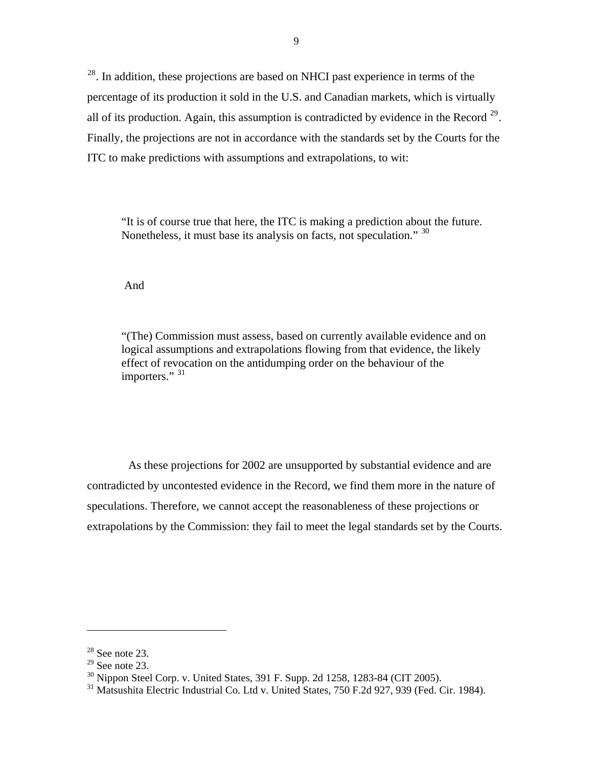<sup>[28](#page-25-0)</sup>. In addition, these projections are based on NHCI past experience in terms of the percentage of its production it sold in the U.S. and Canadian markets, which is virtually all of its production. Again, this assumption is contradicted by evidence in the Record  $^{29}$  $^{29}$  $^{29}$ . Finally, the projections are not in accordance with the standards set by the Courts for the ITC to make predictions with assumptions and extrapolations, to wit:

"It is of course true that here, the ITC is making a prediction about the future. Nonetheless, it must base its analysis on facts, not speculation." [30](#page-25-2)

And

"(The) Commission must assess, based on currently available evidence and on logical assumptions and extrapolations flowing from that evidence, the likely effect of revocation on the antidumping order on the behaviour of the importers." [31](#page-25-3)

As these projections for 2002 are unsupported by substantial evidence and are contradicted by uncontested evidence in the Record, we find them more in the nature of speculations. Therefore, we cannot accept the reasonableness of these projections or extrapolations by the Commission: they fail to meet the legal standards set by the Courts.

<span id="page-25-0"></span> $28$  See note 23.

<span id="page-25-1"></span> $29$  See note 23.

<span id="page-25-2"></span><sup>30</sup> Nippon Steel Corp. v. United States, 391 F. Supp. 2d 1258, 1283-84 (CIT 2005).

<span id="page-25-3"></span><sup>&</sup>lt;sup>31</sup> Matsushita Electric Industrial Co. Ltd v. United States, 750 F.2d 927, 939 (Fed. Cir. 1984).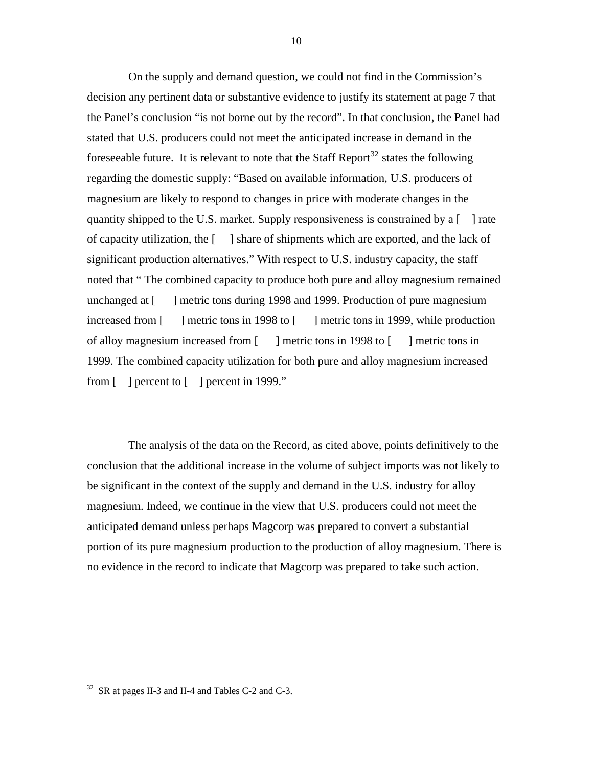On the supply and demand question, we could not find in the Commission's decision any pertinent data or substantive evidence to justify its statement at page 7 that the Panel's conclusion "is not borne out by the record". In that conclusion, the Panel had stated that U.S. producers could not meet the anticipated increase in demand in the fore seeable future. It is relevant to note that the Staff Report<sup>[32](#page-26-0)</sup> states the following regarding the domestic supply: "Based on available information, U.S. producers of magnesium are likely to respond to changes in price with moderate changes in the quantity shipped to the U.S. market. Supply responsiveness is constrained by a  $\lceil \cdot \rceil$  rate of capacity utilization, the [ ] share of shipments which are exported, and the lack of significant production alternatives." With respect to U.S. industry capacity, the staff noted that " The combined capacity to produce both pure and alloy magnesium remained unchanged at [ ] metric tons during 1998 and 1999. Production of pure magnesium increased from [ ] metric tons in 1998 to [ ] metric tons in 1999, while production of alloy magnesium increased from [ ] metric tons in 1998 to [ ] metric tons in 1999. The combined capacity utilization for both pure and alloy magnesium increased from [ ] percent to [ ] percent in 1999."

The analysis of the data on the Record, as cited above, points definitively to the conclusion that the additional increase in the volume of subject imports was not likely to be significant in the context of the supply and demand in the U.S. industry for alloy magnesium. Indeed, we continue in the view that U.S. producers could not meet the anticipated demand unless perhaps Magcorp was prepared to convert a substantial portion of its pure magnesium production to the production of alloy magnesium. There is no evidence in the record to indicate that Magcorp was prepared to take such action.

<span id="page-26-0"></span> $32$  SR at pages II-3 and II-4 and Tables C-2 and C-3.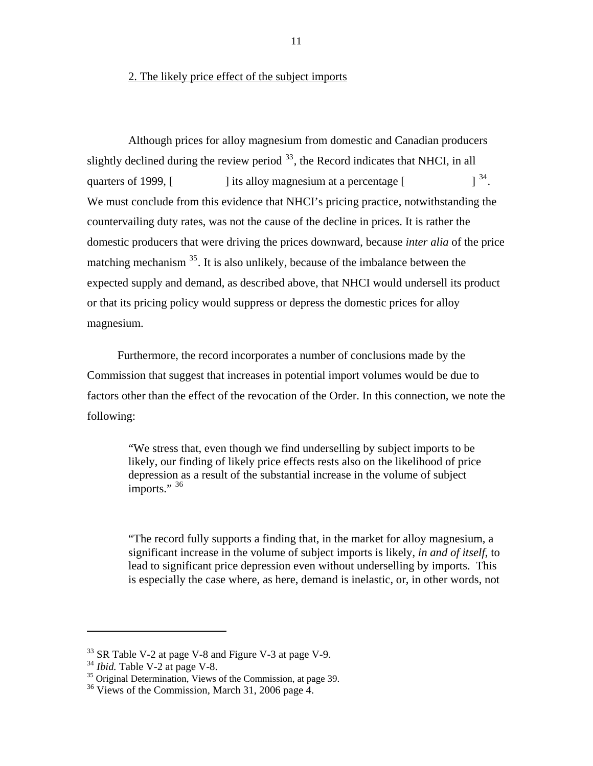#### 2. The likely price effect of the subject imports

Although prices for alloy magnesium from domestic and Canadian producers slightly declined during the review period  $33$ , the Record indicates that NHCI, in all quarters of 1999,  $\lceil$  ] its alloy magnesium at a percentage  $\lceil$   $\rceil^{34}$  $\rceil^{34}$  $\rceil^{34}$ . We must conclude from this evidence that NHCI's pricing practice, notwithstanding the countervailing duty rates, was not the cause of the decline in prices. It is rather the domestic producers that were driving the prices downward, because *inter alia* of the price matching mechanism  $35$ . It is also unlikely, because of the imbalance between the expected supply and demand, as described above, that NHCI would undersell its product or that its pricing policy would suppress or depress the domestic prices for alloy magnesium.

 Furthermore, the record incorporates a number of conclusions made by the Commission that suggest that increases in potential import volumes would be due to factors other than the effect of the revocation of the Order. In this connection, we note the following:

"We stress that, even though we find underselling by subject imports to be likely, our finding of likely price effects rests also on the likelihood of price depression as a result of the substantial increase in the volume of subject imports." [36](#page-27-3)

"The record fully supports a finding that, in the market for alloy magnesium, a significant increase in the volume of subject imports is likely, *in and of itself*, to lead to significant price depression even without underselling by imports. This is especially the case where, as here, demand is inelastic, or, in other words, not

<span id="page-27-0"></span> $33$  SR Table V-2 at page V-8 and Figure V-3 at page V-9.<br> $34$  *Ibid*. Table V-2 at page V-8.

<span id="page-27-2"></span><span id="page-27-1"></span><sup>&</sup>lt;sup>35</sup> Original Determination, Views of the Commission, at page 39.

<span id="page-27-3"></span><sup>&</sup>lt;sup>36</sup> Views of the Commission, March 31, 2006 page 4.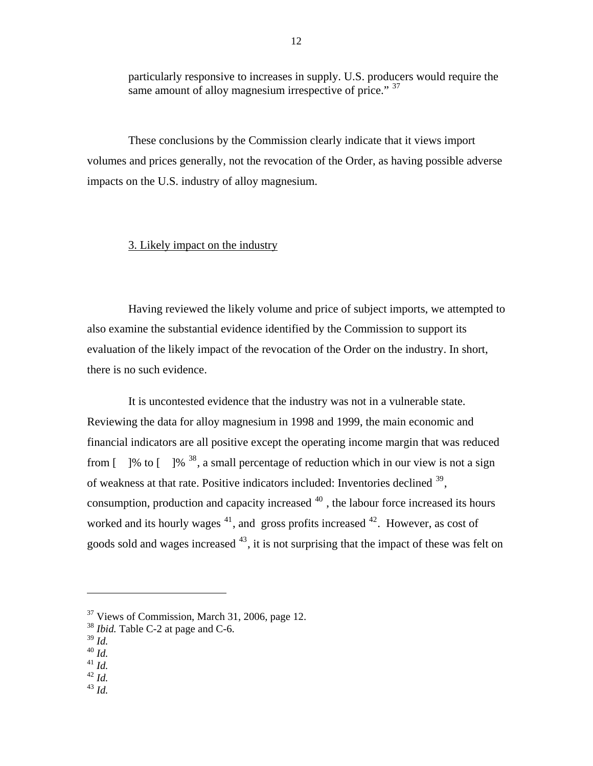particularly responsive to increases in supply. U.S. producers would require the same amount of alloy magnesium irrespective of price." <sup>[37](#page-28-0)</sup>

These conclusions by the Commission clearly indicate that it views import volumes and prices generally, not the revocation of the Order, as having possible adverse impacts on the U.S. industry of alloy magnesium.

#### 3. Likely impact on the industry

Having reviewed the likely volume and price of subject imports, we attempted to also examine the substantial evidence identified by the Commission to support its evaluation of the likely impact of the revocation of the Order on the industry. In short, there is no such evidence.

It is uncontested evidence that the industry was not in a vulnerable state. Reviewing the data for alloy magnesium in 1998 and 1999, the main economic and financial indicators are all positive except the operating income margin that was reduced from  $\lceil$  [  $\frac{1}{6}$  to  $\lceil$   $\frac{1}{6}$   $\frac{38}{3}$  $\frac{38}{3}$  $\frac{38}{3}$ , a small percentage of reduction which in our view is not a sign of weakness at that rate. Positive indicators included: Inventories declined  $39$ , consumption, production and capacity increased  $40$ , the labour force increased its hours worked and its hourly wages  $41$ , and gross profits increased  $42$ . However, as cost of goods sold and wages increased  $43$ , it is not surprising that the impact of these was felt on

 $\overline{a}$ 

<sup>40</sup> *Id.*

- <span id="page-28-5"></span><sup>42</sup> *Id.*
- <span id="page-28-6"></span><sup>43</sup> *Id.*

 $37$  Views of Commission, March 31, 2006, page 12.

<span id="page-28-1"></span><span id="page-28-0"></span><sup>38</sup> *Ibid.* Table C-2 at page and C-6.

<span id="page-28-2"></span><sup>39</sup> *Id.*

<span id="page-28-4"></span><span id="page-28-3"></span> $^{41}$  *Id.*